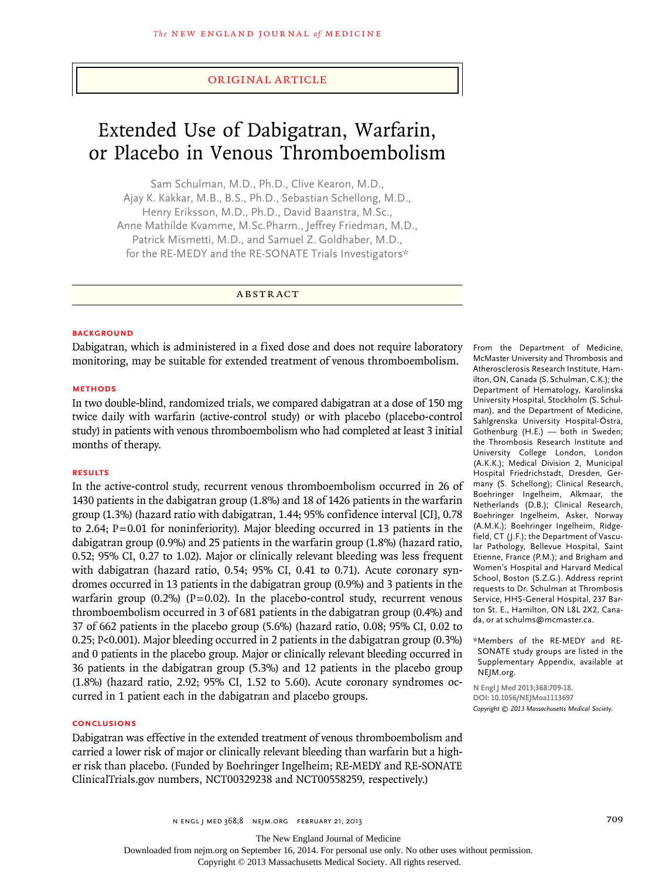### original article

# Extended Use of Dabigatran, Warfarin, or Placebo in Venous Thromboembolism

Sam Schulman, M.D., Ph.D., Clive Kearon, M.D., Ajay K. Kakkar, M.B., B.S., Ph.D., Sebastian Schellong, M.D., Henry Eriksson, M.D., Ph.D., David Baanstra, M.Sc., Anne Mathilde Kvamme, M.Sc.Pharm., Jeffrey Friedman, M.D., Patrick Mismetti, M.D., and Samuel Z. Goldhaber, M.D., for the RE-MEDY and the RE-SONATE Trials Investigators\*

A BSTRACT

#### **BACKGROUND**

Dabigatran, which is administered in a fixed dose and does not require laboratory monitoring, may be suitable for extended treatment of venous thromboembolism.

#### **Methods**

In two double-blind, randomized trials, we compared dabigatran at a dose of 150 mg twice daily with warfarin (active-control study) or with placebo (placebo-control study) in patients with venous thromboembolism who had completed at least 3 initial months of therapy.

#### **Results**

In the active-control study, recurrent venous thromboembolism occurred in 26 of 1430 patients in the dabigatran group (1.8%) and 18 of 1426 patients in the warfarin group (1.3%) (hazard ratio with dabigatran, 1.44; 95% confidence interval [CI], 0.78 to 2.64; P=0.01 for noninferiority). Major bleeding occurred in 13 patients in the dabigatran group (0.9%) and 25 patients in the warfarin group (1.8%) (hazard ratio, 0.52; 95% CI, 0.27 to 1.02). Major or clinically relevant bleeding was less frequent with dabigatran (hazard ratio, 0.54; 95% CI, 0.41 to 0.71). Acute coronary syndromes occurred in 13 patients in the dabigatran group (0.9%) and 3 patients in the warfarin group  $(0.2\%)$  (P=0.02). In the placebo-control study, recurrent venous thromboembolism occurred in 3 of 681 patients in the dabigatran group (0.4%) and 37 of 662 patients in the placebo group (5.6%) (hazard ratio, 0.08; 95% CI, 0.02 to 0.25; P<0.001). Major bleeding occurred in 2 patients in the dabigatran group (0.3%) and 0 patients in the placebo group. Major or clinically relevant bleeding occurred in 36 patients in the dabigatran group (5.3%) and 12 patients in the placebo group (1.8%) (hazard ratio, 2.92; 95% CI, 1.52 to 5.60). Acute coronary syndromes occurred in 1 patient each in the dabigatran and placebo groups.

#### **Conclusions**

Dabigatran was effective in the extended treatment of venous thromboembolism and carried a lower risk of major or clinically relevant bleeding than warfarin but a higher risk than placebo. (Funded by Boehringer Ingelheim; RE-MEDY and RE-SONATE ClinicalTrials.gov numbers, NCT00329238 and NCT00558259, respectively.)

From the Department of Medicine, McMaster University and Thrombosis and Atherosclerosis Research Institute, Hamilton, ON, Canada (S. Schulman, C.K.); the Department of Hematology, Karolinska University Hospital, Stockholm (S. Schulman), and the Department of Medicine, Sahlgrenska University Hospital-Östra, Gothenburg (H.E.) — both in Sweden; the Thrombosis Research Institute and University College London, London (A.K.K.); Medical Division 2, Municipal Hospital Friedrichstadt, Dresden, Germany (S. Schellong); Clinical Research, Boehringer Ingelheim, Alkmaar, the Netherlands (D.B.); Clinical Research, Boehringer Ingelheim, Asker, Norway (A.M.K.); Boehringer Ingelheim, Ridgefield, CT (J.F.); the Department of Vascular Pathology, Bellevue Hospital, Saint Etienne, France (P.M.); and Brigham and Women's Hospital and Harvard Medical School, Boston (S.Z.G.). Address reprint requests to Dr. Schulman at Thrombosis Service, HHS-General Hospital, 237 Barton St. E., Hamilton, ON L8L 2X2, Canada, or at schulms@mcmaster.ca.

\*Members of the RE-MEDY and RE-SONATE study groups are listed in the Supplementary Appendix, available at NEJM.org.

**N Engl J Med 2013;368:709-18. DOI: 10.1056/NEJMoa1113697** *Copyright © 2013 Massachusetts Medical Society.*

The New England Journal of Medicine

Downloaded from nejm.org on September 16, 2014. For personal use only. No other uses without permission.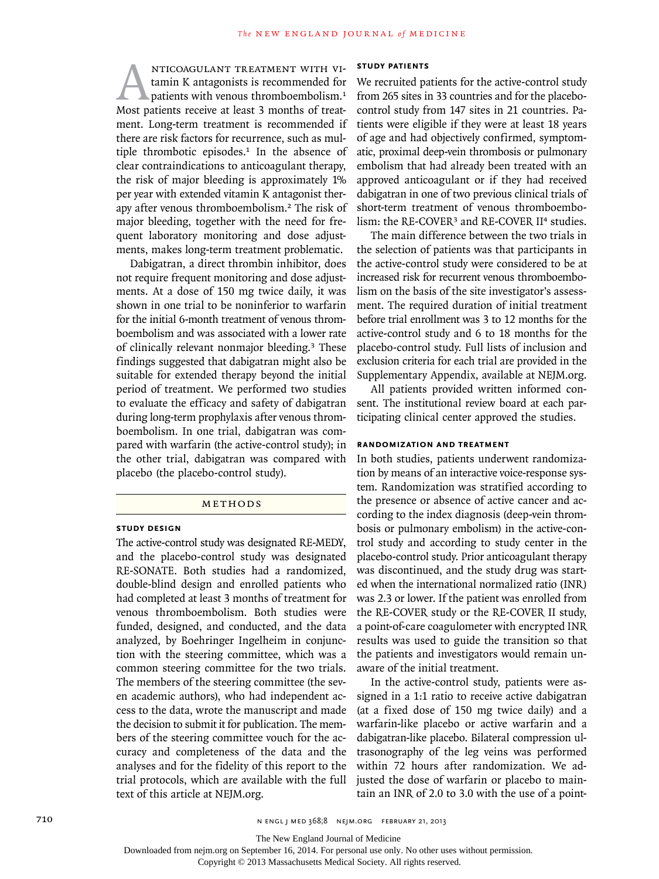ANTICOAGULANT TREATMENT WITH VI-<br>
tamin K antagonists is recommended for<br>
patients with venous thromboembolism.<sup>1</sup><br>
Most patients receive at least 3 months of treattamin K antagonists is recommended for patients with venous thromboembolism.<sup>1</sup> ment. Long-term treatment is recommended if there are risk factors for recurrence, such as multiple thrombotic episodes.<sup>1</sup> In the absence of clear contraindications to anticoagulant therapy, the risk of major bleeding is approximately 1% per year with extended vitamin K antagonist therapy after venous thromboembolism.2 The risk of major bleeding, together with the need for frequent laboratory monitoring and dose adjustments, makes long-term treatment problematic.

Dabigatran, a direct thrombin inhibitor, does not require frequent monitoring and dose adjustments. At a dose of 150 mg twice daily, it was shown in one trial to be noninferior to warfarin for the initial 6-month treatment of venous thromboembolism and was associated with a lower rate of clinically relevant nonmajor bleeding.3 These findings suggested that dabigatran might also be suitable for extended therapy beyond the initial period of treatment. We performed two studies to evaluate the efficacy and safety of dabigatran during long-term prophylaxis after venous thromboembolism. In one trial, dabigatran was compared with warfarin (the active-control study); in the other trial, dabigatran was compared with placebo (the placebo-control study).

#### METHODS

#### **Study Design**

The active-control study was designated RE-MEDY, and the placebo-control study was designated RE-SONATE. Both studies had a randomized, double-blind design and enrolled patients who had completed at least 3 months of treatment for venous thromboembolism. Both studies were funded, designed, and conducted, and the data analyzed, by Boehringer Ingelheim in conjunction with the steering committee, which was a common steering committee for the two trials. The members of the steering committee (the seven academic authors), who had independent access to the data, wrote the manuscript and made the decision to submit it for publication. The members of the steering committee vouch for the accuracy and completeness of the data and the analyses and for the fidelity of this report to the trial protocols, which are available with the full text of this article at NEJM.org.

# **Study Patients**

We recruited patients for the active-control study from 265 sites in 33 countries and for the placebocontrol study from 147 sites in 21 countries. Patients were eligible if they were at least 18 years of age and had objectively confirmed, symptomatic, proximal deep-vein thrombosis or pulmonary embolism that had already been treated with an approved anticoagulant or if they had received dabigatran in one of two previous clinical trials of short-term treatment of venous thromboembolism: the RE-COVER<sup>3</sup> and RE-COVER II<sup>4</sup> studies.

The main difference between the two trials in the selection of patients was that participants in the active-control study were considered to be at increased risk for recurrent venous thromboembolism on the basis of the site investigator's assessment. The required duration of initial treatment before trial enrollment was 3 to 12 months for the active-control study and 6 to 18 months for the placebo-control study. Full lists of inclusion and exclusion criteria for each trial are provided in the Supplementary Appendix, available at NEJM.org.

All patients provided written informed consent. The institutional review board at each participating clinical center approved the studies.

## **Randomization and Treatment**

In both studies, patients underwent randomization by means of an interactive voice-response system. Randomization was stratified according to the presence or absence of active cancer and according to the index diagnosis (deep-vein thrombosis or pulmonary embolism) in the active-control study and according to study center in the placebo-control study. Prior anticoagulant therapy was discontinued, and the study drug was started when the international normalized ratio (INR) was 2.3 or lower. If the patient was enrolled from the RE-COVER study or the RE-COVER II study, a point-of-care coagulometer with encrypted INR results was used to guide the transition so that the patients and investigators would remain unaware of the initial treatment.

In the active-control study, patients were assigned in a 1:1 ratio to receive active dabigatran (at a fixed dose of 150 mg twice daily) and a warfarin-like placebo or active warfarin and a dabigatran-like placebo. Bilateral compression ultrasonography of the leg veins was performed within 72 hours after randomization. We adjusted the dose of warfarin or placebo to maintain an INR of 2.0 to 3.0 with the use of a point-

The New England Journal of Medicine

Downloaded from nejm.org on September 16, 2014. For personal use only. No other uses without permission.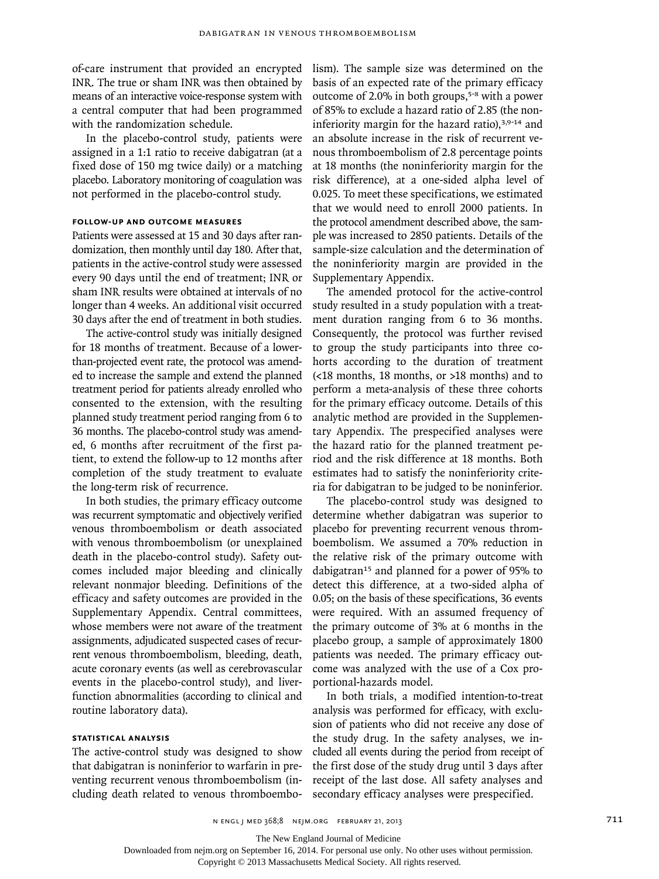of-care instrument that provided an encrypted INR. The true or sham INR was then obtained by means of an interactive voice-response system with a central computer that had been programmed with the randomization schedule.

In the placebo-control study, patients were assigned in a 1:1 ratio to receive dabigatran (at a fixed dose of 150 mg twice daily) or a matching placebo. Laboratory monitoring of coagulation was not performed in the placebo-control study.

# **Follow-up and Outcome Measures**

Patients were assessed at 15 and 30 days after randomization, then monthly until day 180. After that, patients in the active-control study were assessed every 90 days until the end of treatment; INR or sham INR results were obtained at intervals of no longer than 4 weeks. An additional visit occurred 30 days after the end of treatment in both studies.

The active-control study was initially designed for 18 months of treatment. Because of a lowerthan-projected event rate, the protocol was amended to increase the sample and extend the planned treatment period for patients already enrolled who consented to the extension, with the resulting planned study treatment period ranging from 6 to 36 months. The placebo-control study was amended, 6 months after recruitment of the first patient, to extend the follow-up to 12 months after completion of the study treatment to evaluate the long-term risk of recurrence.

In both studies, the primary efficacy outcome was recurrent symptomatic and objectively verified venous thromboembolism or death associated with venous thromboembolism (or unexplained death in the placebo-control study). Safety outcomes included major bleeding and clinically relevant nonmajor bleeding. Definitions of the efficacy and safety outcomes are provided in the Supplementary Appendix. Central committees, whose members were not aware of the treatment assignments, adjudicated suspected cases of recurrent venous thromboembolism, bleeding, death, acute coronary events (as well as cerebrovascular events in the placebo-control study), and liverfunction abnormalities (according to clinical and routine laboratory data).

# **Statistical Analysis**

The active-control study was designed to show that dabigatran is noninferior to warfarin in preventing recurrent venous thromboembolism (including death related to venous thromboembolism). The sample size was determined on the basis of an expected rate of the primary efficacy outcome of 2.0% in both groups,5-8 with a power of 85% to exclude a hazard ratio of 2.85 (the noninferiority margin for the hazard ratio), $3,9-14$  and an absolute increase in the risk of recurrent venous thromboembolism of 2.8 percentage points at 18 months (the noninferiority margin for the risk difference), at a one-sided alpha level of 0.025. To meet these specifications, we estimated that we would need to enroll 2000 patients. In the protocol amendment described above, the sample was increased to 2850 patients. Details of the sample-size calculation and the determination of the noninferiority margin are provided in the Supplementary Appendix.

The amended protocol for the active-control study resulted in a study population with a treatment duration ranging from 6 to 36 months. Consequently, the protocol was further revised to group the study participants into three cohorts according to the duration of treatment (<18 months, 18 months, or >18 months) and to perform a meta-analysis of these three cohorts for the primary efficacy outcome. Details of this analytic method are provided in the Supplementary Appendix. The prespecified analyses were the hazard ratio for the planned treatment period and the risk difference at 18 months. Both estimates had to satisfy the noninferiority criteria for dabigatran to be judged to be noninferior.

The placebo-control study was designed to determine whether dabigatran was superior to placebo for preventing recurrent venous thromboembolism. We assumed a 70% reduction in the relative risk of the primary outcome with dabigatran<sup>15</sup> and planned for a power of 95% to detect this difference, at a two-sided alpha of 0.05; on the basis of these specifications, 36 events were required. With an assumed frequency of the primary outcome of 3% at 6 months in the placebo group, a sample of approximately 1800 patients was needed. The primary efficacy outcome was analyzed with the use of a Cox proportional-hazards model.

In both trials, a modified intention-to-treat analysis was performed for efficacy, with exclusion of patients who did not receive any dose of the study drug. In the safety analyses, we included all events during the period from receipt of the first dose of the study drug until 3 days after receipt of the last dose. All safety analyses and secondary efficacy analyses were prespecified.

n engl j med 368;8 nejm.org february 21, 2013 711

The New England Journal of Medicine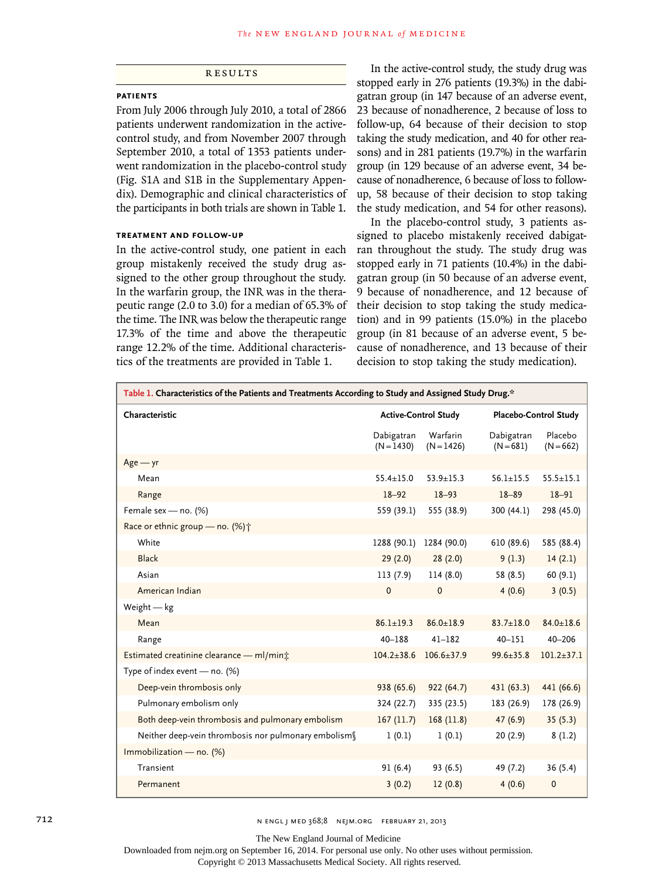**RESULTS** 

### **Patients**

From July 2006 through July 2010, a total of 2866 patients underwent randomization in the activecontrol study, and from November 2007 through September 2010, a total of 1353 patients underwent randomization in the placebo-control study (Fig. S1A and S1B in the Supplementary Appendix). Demographic and clinical characteristics of the participants in both trials are shown in Table 1.

# **Treatment and Follow-up**

In the active-control study, one patient in each group mistakenly received the study drug assigned to the other group throughout the study. In the warfarin group, the INR was in the therapeutic range (2.0 to 3.0) for a median of 65.3% of the time. The INR was below the therapeutic range 17.3% of the time and above the therapeutic range 12.2% of the time. Additional characteristics of the treatments are provided in Table 1.

In the active-control study, the study drug was stopped early in 276 patients (19.3%) in the dabigatran group (in 147 because of an adverse event, 23 because of nonadherence, 2 because of loss to follow-up, 64 because of their decision to stop taking the study medication, and 40 for other reasons) and in 281 patients (19.7%) in the warfarin group (in 129 because of an adverse event, 34 because of nonadherence, 6 because of loss to followup, 58 because of their decision to stop taking the study medication, and 54 for other reasons).

In the placebo-control study, 3 patients assigned to placebo mistakenly received dabigatran throughout the study. The study drug was stopped early in 71 patients (10.4%) in the dabigatran group (in 50 because of an adverse event, 9 because of nonadherence, and 12 because of their decision to stop taking the study medication) and in 99 patients (15.0%) in the placebo group (in 81 because of an adverse event, 5 because of nonadherence, and 13 because of their decision to stop taking the study medication).

| Table 1. Characteristics of the Patients and Treatments According to Study and Assigned Study Drug.* |                             |                          |                           |                        |
|------------------------------------------------------------------------------------------------------|-----------------------------|--------------------------|---------------------------|------------------------|
| Characteristic                                                                                       | <b>Active-Control Study</b> |                          |                           | Placebo-Control Study  |
|                                                                                                      | Dabigatran<br>$(N = 1430)$  | Warfarin<br>$(N = 1426)$ | Dabigatran<br>$(N = 681)$ | Placebo<br>$(N = 662)$ |
| $Age - yr$                                                                                           |                             |                          |                           |                        |
| Mean                                                                                                 | $55.4 + 15.0$               | $53.9 + 15.3$            | $56.1 + 15.5$             | $55.5 \pm 15.1$        |
| Range                                                                                                | $18 - 92$                   | $18 - 93$                | $18 - 89$                 | $18 - 91$              |
| Female sex - no. (%)                                                                                 | 559 (39.1)                  | 555 (38.9)               | 300 (44.1)                | 298 (45.0)             |
| Race or ethnic group - no. (%) <sup>+</sup>                                                          |                             |                          |                           |                        |
| White                                                                                                | 1288 (90.1)                 | 1284 (90.0)              | 610 (89.6)                | 585 (88.4)             |
| <b>Black</b>                                                                                         | 29(2.0)                     | 28(2.0)                  | 9(1.3)                    | 14(2.1)                |
| Asian                                                                                                | 113(7.9)                    | 114 (8.0)                | 58 (8.5)                  | 60(9.1)                |
| American Indian                                                                                      | $\mathbf{0}$                | $\mathbf{0}$             | 4(0.6)                    | 3(0.5)                 |
| Weight $-$ kg                                                                                        |                             |                          |                           |                        |
| Mean                                                                                                 | $86.1 \pm 19.3$             | $86.0 \pm 18.9$          | $83.7 \pm 18.0$           | $84.0 \pm 18.6$        |
| Range                                                                                                | $40 - 188$                  | $41 - 182$               | $40 - 151$                | $40 - 206$             |
| Estimated creatinine clearance - ml/min*                                                             | $104.2 \pm 38.6$            | $106.6 + 37.9$           | $99.6 \pm 35.8$           | $101.2 + 37.1$         |
| Type of index event - no. (%)                                                                        |                             |                          |                           |                        |
| Deep-vein thrombosis only                                                                            | 938 (65.6)                  | 922(64.7)                | 431 (63.3)                | 441 (66.6)             |
| Pulmonary embolism only                                                                              | 324 (22.7)                  | 335 (23.5)               | 183 (26.9)                | 178 (26.9)             |
| Both deep-vein thrombosis and pulmonary embolism                                                     | 167(11.7)                   | 168(11.8)                | 47(6.9)                   | 35(5.3)                |
| Neither deep-vein thrombosis nor pulmonary embolism                                                  | 1(0.1)                      | 1(0.1)                   | 20(2.9)                   | 8(1.2)                 |
| Immobilization - no. (%)                                                                             |                             |                          |                           |                        |
| Transient                                                                                            | 91(6.4)                     | 93 (6.5)                 | 49 (7.2)                  | 36 (5.4)               |
| Permanent                                                                                            | 3(0.2)                      | 12(0.8)                  | 4(0.6)                    | $\mathbf 0$            |

712 **N ENGL | MED 368;8 NEJM.ORG FEBRUARY 21, 2013** 

The New England Journal of Medicine

Downloaded from nejm.org on September 16, 2014. For personal use only. No other uses without permission.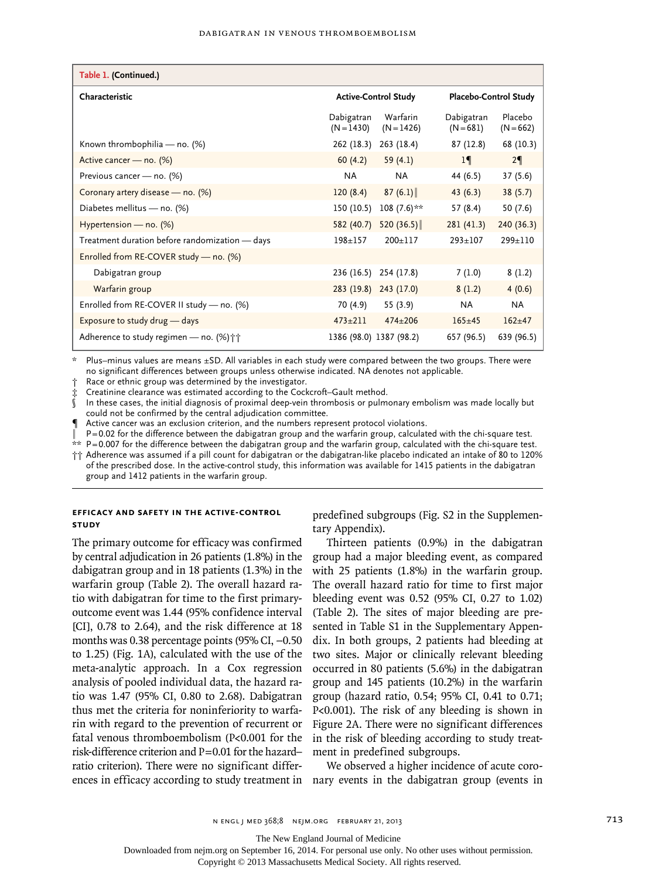| Table 1. (Continued.)                                 |                             |                          |                           |                        |
|-------------------------------------------------------|-----------------------------|--------------------------|---------------------------|------------------------|
| Characteristic                                        | <b>Active-Control Study</b> |                          | Placebo-Control Study     |                        |
|                                                       | Dabigatran<br>$(N = 1430)$  | Warfarin<br>$(N = 1426)$ | Dabigatran<br>$(N = 681)$ | Placebo<br>$(N = 662)$ |
| Known thrombophilia - no. (%)                         | 262 (18.3)                  | 263 (18.4)               | 87(12.8)                  | 68 (10.3)              |
| Active cancer - no. (%)                               | 60(4.2)                     | 59 $(4.1)$               | 1                         | $2\P$                  |
| Previous cancer - no. (%)                             | NA.                         | NA.                      | 44 (6.5)                  | 37(5.6)                |
| Coronary artery disease - no. (%)                     | 120(8.4)                    | 87(6.1)                  | 43(6.3)                   | 38(5.7)                |
| Diabetes mellitus - no. (%)                           | 150 (10.5)                  | $108(7.6)$ **            | 57 (8.4)                  | 50(7.6)                |
| Hypertension - no. (%)                                | 582 (40.7)                  | 520 $(36.5)$             | 281(41.3)                 | 240 (36.3)             |
| Treatment duration before randomization - days        | $198 + 157$                 | $200 + 117$              | $293 + 107$               | $299+110$              |
| Enrolled from RE-COVER study - no. (%)                |                             |                          |                           |                        |
| Dabigatran group                                      | 236(16.5)                   | 254 (17.8)               | 7(1.0)                    | 8(1.2)                 |
| Warfarin group                                        | 283(19.8)                   | 243(17.0)                | 8(1.2)                    | 4(0.6)                 |
| Enrolled from RE-COVER II study - no. (%)             | 70 (4.9)                    | 55 (3.9)                 | <b>NA</b>                 | <b>NA</b>              |
| Exposure to study drug - days                         | $473 + 211$                 | $474 + 206$              | $165 + 45$                | $162+47$               |
| Adherence to study regimen – no. $(\%)$ <sup>++</sup> | 1386 (98.0) 1387 (98.2)     |                          | 657 (96.5)                | 639 (96.5)             |

\* Plus–minus values are means ±SD. All variables in each study were compared between the two groups. There were no significant differences between groups unless otherwise indicated. NA denotes not applicable.

Race or ethnic group was determined by the investigator.

Creatinine clearance was estimated according to the Cockcroft-Gault method.

In these cases, the initial diagnosis of proximal deep-vein thrombosis or pulmonary embolism was made locally but could not be confirmed by the central adjudication committee.

¶ Active cancer was an exclusion criterion, and the numbers represent protocol violations.

P=0.02 for the difference between the dabigatran group and the warfarin group, calculated with the chi-square test.

 $**$  P=0.007 for the difference between the dabigatran group and the warfarin group, calculated with the chi-square test.

†† Adherence was assumed if a pill count for dabigatran or the dabigatran-like placebo indicated an intake of 80 to 120% of the prescribed dose. In the active-control study, this information was available for 1415 patients in the dabigatran group and 1412 patients in the warfarin group.

# **Efficacy and Safety in the Active-Control Study**

The primary outcome for efficacy was confirmed by central adjudication in 26 patients (1.8%) in the dabigatran group and in 18 patients (1.3%) in the warfarin group (Table 2). The overall hazard ratio with dabigatran for time to the first primaryoutcome event was 1.44 (95% confidence interval [CI], 0.78 to 2.64), and the risk difference at 18 months was 0.38 percentage points (95% CI, −0.50 to 1.25) (Fig. 1A), calculated with the use of the meta-analytic approach. In a Cox regression analysis of pooled individual data, the hazard ratio was 1.47 (95% CI, 0.80 to 2.68). Dabigatran thus met the criteria for noninferiority to warfarin with regard to the prevention of recurrent or fatal venous thromboembolism (P<0.001 for the risk-difference criterion and P=0.01 for the hazard– ratio criterion). There were no significant differpredefined subgroups (Fig. S2 in the Supplementary Appendix).

Thirteen patients (0.9%) in the dabigatran group had a major bleeding event, as compared with 25 patients (1.8%) in the warfarin group. The overall hazard ratio for time to first major bleeding event was 0.52 (95% CI, 0.27 to 1.02) (Table 2). The sites of major bleeding are presented in Table S1 in the Supplementary Appendix. In both groups, 2 patients had bleeding at two sites. Major or clinically relevant bleeding occurred in 80 patients (5.6%) in the dabigatran group and 145 patients (10.2%) in the warfarin group (hazard ratio, 0.54; 95% CI, 0.41 to 0.71; P<0.001). The risk of any bleeding is shown in Figure 2A. There were no significant differences in the risk of bleeding according to study treatment in predefined subgroups.

ences in efficacy according to study treatment in nary events in the dabigatran group (events in We observed a higher incidence of acute coro-

The New England Journal of Medicine

Downloaded from nejm.org on September 16, 2014. For personal use only. No other uses without permission.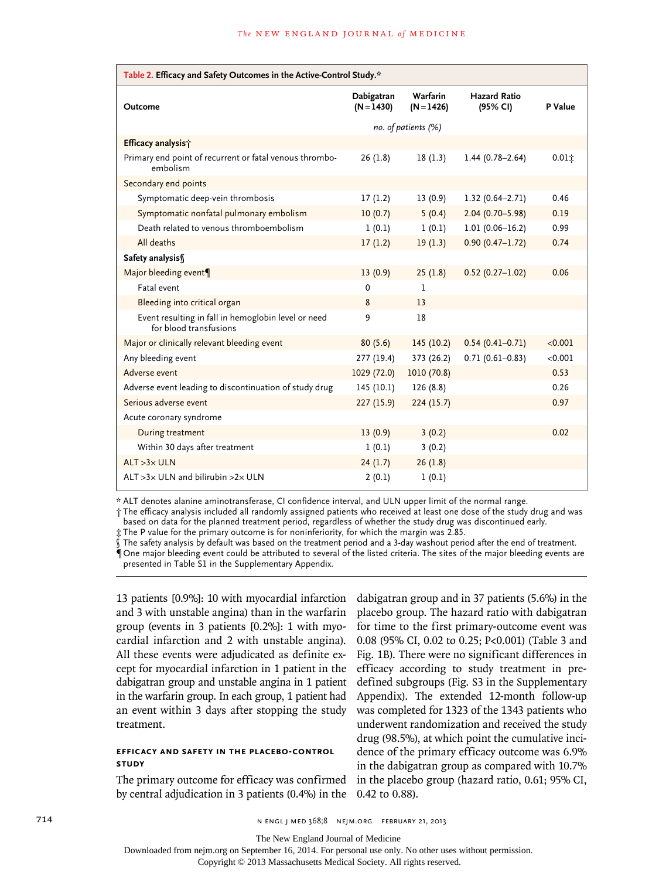| Table 2. Efficacy and Safety Outcomes in the Active-Control Study.*           |                            |                          |                                 |         |  |
|-------------------------------------------------------------------------------|----------------------------|--------------------------|---------------------------------|---------|--|
| Outcome                                                                       | Dabigatran<br>$(N = 1430)$ | Warfarin<br>$(N = 1426)$ | <b>Hazard Ratio</b><br>(95% CI) | P Value |  |
|                                                                               | no. of patients (%)        |                          |                                 |         |  |
| Efficacy analysis;                                                            |                            |                          |                                 |         |  |
| Primary end point of recurrent or fatal venous thrombo-<br>embolism           | 26(1.8)                    | 18(1.3)                  | $1.44(0.78 - 2.64)$             | 0.011   |  |
| Secondary end points                                                          |                            |                          |                                 |         |  |
| Symptomatic deep-vein thrombosis                                              | 17(1.2)                    | 13(0.9)                  | $1.32(0.64 - 2.71)$             | 0.46    |  |
| Symptomatic nonfatal pulmonary embolism                                       | 10(0.7)                    | 5(0.4)                   | $2.04(0.70 - 5.98)$             | 0.19    |  |
| Death related to venous thromboembolism                                       | 1(0.1)                     | 1(0.1)                   | $1.01(0.06 - 16.2)$             | 0.99    |  |
| All deaths                                                                    | 17(1.2)                    | 19(1.3)                  | $0.90(0.47 - 1.72)$             | 0.74    |  |
| Safety analysis§                                                              |                            |                          |                                 |         |  |
| Major bleeding event¶                                                         | 13(0.9)                    | 25(1.8)                  | $0.52(0.27-1.02)$               | 0.06    |  |
| Fatal event                                                                   | 0                          | 1                        |                                 |         |  |
| Bleeding into critical organ                                                  | 8                          | 13                       |                                 |         |  |
| Event resulting in fall in hemoglobin level or need<br>for blood transfusions | 9                          | 18                       |                                 |         |  |
| Major or clinically relevant bleeding event                                   | 80(5.6)                    | 145(10.2)                | $0.54(0.41 - 0.71)$             | < 0.001 |  |
| Any bleeding event                                                            | 277 (19.4)                 | 373 (26.2)               | $0.71(0.61 - 0.83)$             | < 0.001 |  |
| Adverse event                                                                 | 1029 (72.0)                | 1010 (70.8)              |                                 | 0.53    |  |
| Adverse event leading to discontinuation of study drug                        | 145(10.1)                  | 126(8.8)                 |                                 | 0.26    |  |
| Serious adverse event                                                         | 227 (15.9)                 | 224(15.7)                |                                 | 0.97    |  |
| Acute coronary syndrome                                                       |                            |                          |                                 |         |  |
| During treatment                                                              | 13(0.9)                    | 3(0.2)                   |                                 | 0.02    |  |
| Within 30 days after treatment                                                | 1(0.1)                     | 3(0.2)                   |                                 |         |  |
| $ALT > 3 \times ULN$                                                          | 24(1.7)                    | 26(1.8)                  |                                 |         |  |
| ALT $>3\times$ ULN and bilirubin $>2\times$ ULN                               | 2(0.1)                     | 1(0.1)                   |                                 |         |  |

\* ALT denotes alanine aminotransferase, CI confidence interval, and ULN upper limit of the normal range.

† The efficacy analysis included all randomly assigned patients who received at least one dose of the study drug and was based on data for the planned treatment period, regardless of whether the study drug was discontinued early.

‡ The P value for the primary outcome is for noninferiority, for which the margin was 2.85.

The safety analysis by default was based on the treatment period and a 3-day washout period after the end of treatment. ¶One major bleeding event could be attributed to several of the listed criteria. The sites of the major bleeding events are presented in Table S1 in the Supplementary Appendix.

13 patients [0.9%]: 10 with myocardial infarction and 3 with unstable angina) than in the warfarin group (events in 3 patients [0.2%]: 1 with myocardial infarction and 2 with unstable angina). All these events were adjudicated as definite except for myocardial infarction in 1 patient in the dabigatran group and unstable angina in 1 patient in the warfarin group. In each group, 1 patient had an event within 3 days after stopping the study treatment.

# **Efficacy and Safety in the Placebo-Control Study**

The primary outcome for efficacy was confirmed by central adjudication in 3 patients (0.4%) in the

dabigatran group and in 37 patients (5.6%) in the placebo group. The hazard ratio with dabigatran for time to the first primary-outcome event was 0.08 (95% CI, 0.02 to 0.25; P<0.001) (Table 3 and Fig. 1B). There were no significant differences in efficacy according to study treatment in predefined subgroups (Fig. S3 in the Supplementary Appendix). The extended 12-month follow-up was completed for 1323 of the 1343 patients who underwent randomization and received the study drug (98.5%), at which point the cumulative incidence of the primary efficacy outcome was 6.9% in the dabigatran group as compared with 10.7% in the placebo group (hazard ratio, 0.61; 95% CI, 0.42 to 0.88).

The New England Journal of Medicine

Downloaded from nejm.org on September 16, 2014. For personal use only. No other uses without permission.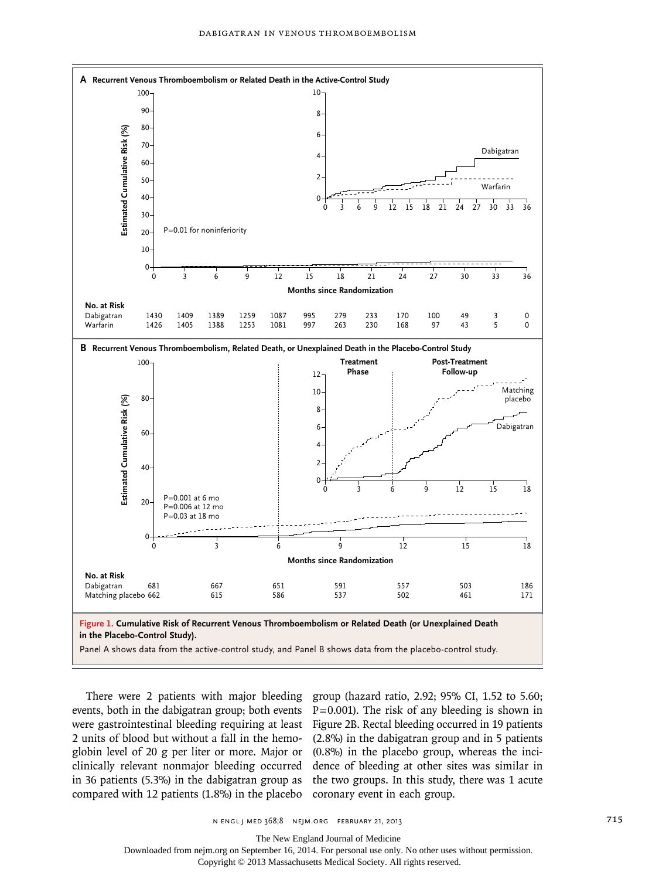

events, both in the dabigatran group; both events  $P=0.001$ ). The risk of any bleeding is shown in were gastrointestinal bleeding requiring at least Figure 2B. Rectal bleeding occurred in 19 patients 2 units of blood but without a fall in the hemo-(2.8%) in the dabigatran group and in 5 patients globin level of 20 g per liter or more. Major or (0.8%) in the placebo group, whereas the inciclinically relevant nonmajor bleeding occurred dence of bleeding at other sites was similar in in 36 patients (5.3%) in the dabigatran group as the two groups. In this study, there was 1 acute compared with 12 patients (1.8%) in the placebo coronary event in each group.

There were 2 patients with major bleeding group (hazard ratio, 2.92; 95% CI, 1.52 to 5.60;

n engl j med 368;8 nejm.org february 21, 2013 715

The New England Journal of Medicine

Downloaded from nejm.org on September 16, 2014. For personal use only. No other uses without permission.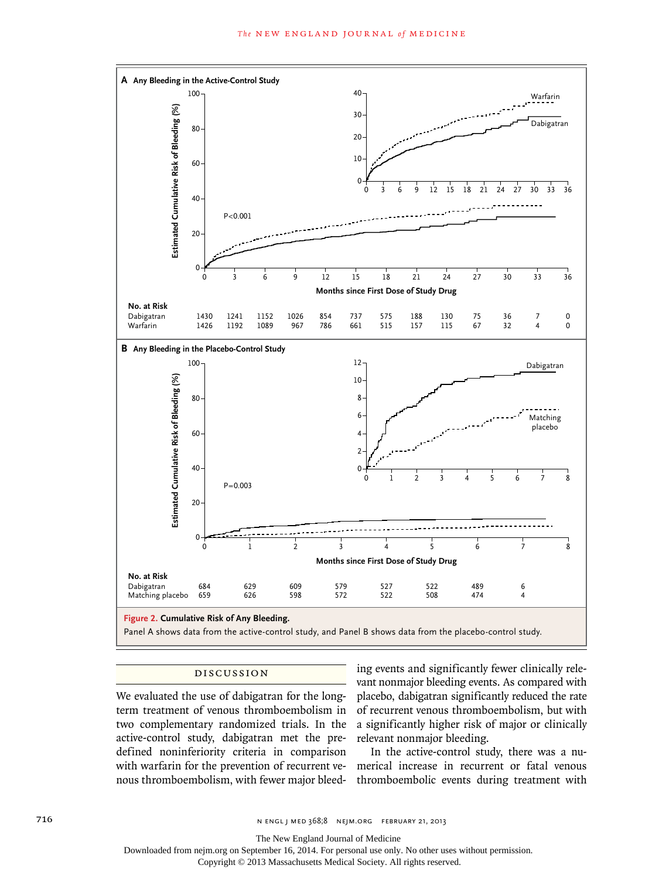

# Discussion

We evaluated the use of dabigatran for the longterm treatment of venous thromboembolism in two complementary randomized trials. In the active-control study, dabigatran met the predefined noninferiority criteria in comparison nous thromboembolism, with fewer major bleed-

ing events and significantly fewer clinically relevant nonmajor bleeding events. As compared with placebo, dabigatran significantly reduced the rate of recurrent venous thromboembolism, but with a significantly higher risk of major or clinically relevant nonmajor bleeding.

with warfarin for the prevention of recurrent ve-merical increase in recurrent or fatal venous In the active-control study, there was a nuthromboembolic events during treatment with

The New England Journal of Medicine

Downloaded from nejm.org on September 16, 2014. For personal use only. No other uses without permission.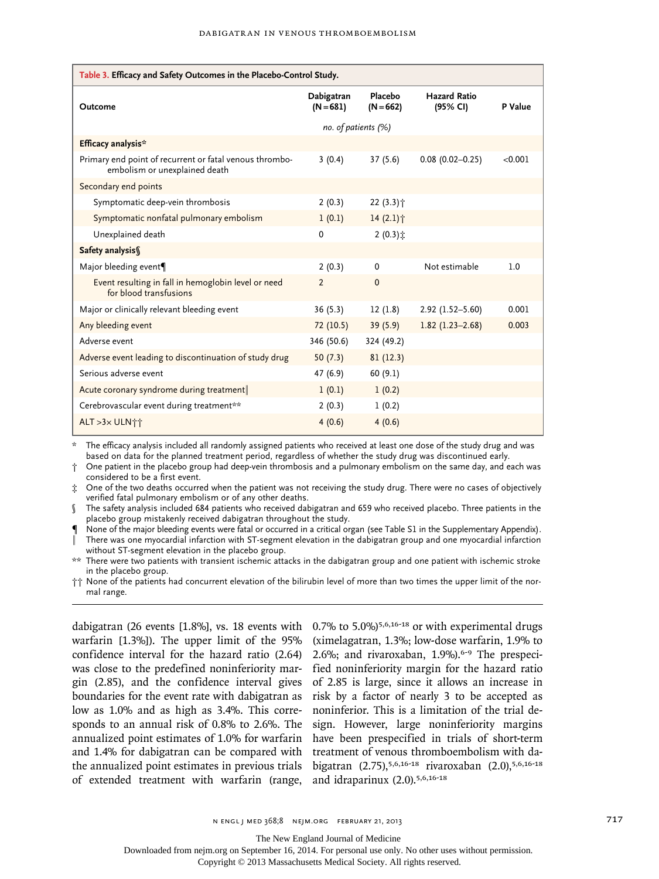| Table 3. Efficacy and Safety Outcomes in the Placebo-Control Study.                      |                           |                        |                                 |         |
|------------------------------------------------------------------------------------------|---------------------------|------------------------|---------------------------------|---------|
| Outcome                                                                                  | Dabigatran<br>$(N = 681)$ | Placebo<br>$(N = 662)$ | <b>Hazard Ratio</b><br>(95% CI) | P Value |
|                                                                                          | no. of patients (%)       |                        |                                 |         |
| Efficacy analysis*                                                                       |                           |                        |                                 |         |
| Primary end point of recurrent or fatal venous thrombo-<br>embolism or unexplained death | 3(0.4)                    | 37(5.6)                | $0.08$ (0.02-0.25)              | < 0.001 |
| Secondary end points                                                                     |                           |                        |                                 |         |
| Symptomatic deep-vein thrombosis                                                         | 2(0.3)                    | $22(3.3)$ <sup>+</sup> |                                 |         |
| Symptomatic nonfatal pulmonary embolism                                                  | 1(0.1)                    | 14(2.1)                |                                 |         |
| Unexplained death                                                                        | 0                         | $2(0.3)$ $\ddot{x}$    |                                 |         |
| Safety analysis                                                                          |                           |                        |                                 |         |
| Major bleeding event¶                                                                    | 2(0.3)                    | $\mathbf 0$            | Not estimable                   | 1.0     |
| Event resulting in fall in hemoglobin level or need<br>for blood transfusions            | $\overline{2}$            | $\Omega$               |                                 |         |
| Major or clinically relevant bleeding event                                              | 36(5.3)                   | 12(1.8)                | $2.92(1.52 - 5.60)$             | 0.001   |
| Any bleeding event                                                                       | 72(10.5)                  | 39(5.9)                | $1.82(1.23 - 2.68)$             | 0.003   |
| Adverse event                                                                            | 346 (50.6)                | 324 (49.2)             |                                 |         |
| Adverse event leading to discontinuation of study drug                                   | 50(7.3)                   | 81(12.3)               |                                 |         |
| Serious adverse event                                                                    | 47(6.9)                   | 60(9.1)                |                                 |         |
| Acute coronary syndrome during treatment                                                 | 1(0.1)                    | 1(0.2)                 |                                 |         |
| Cerebrovascular event during treatment**                                                 | 2(0.3)                    | 1(0.2)                 |                                 |         |
| ALT >3x ULN计                                                                             | 4(0.6)                    | 4(0.6)                 |                                 |         |

The efficacy analysis included all randomly assigned patients who received at least one dose of the study drug and was based on data for the planned treatment period, regardless of whether the study drug was discontinued early.

† One patient in the placebo group had deep-vein thrombosis and a pulmonary embolism on the same day, and each was considered to be a first event.

‡ One of the two deaths occurred when the patient was not receiving the study drug. There were no cases of objectively verified fatal pulmonary embolism or of any other deaths.

§ The safety analysis included 684 patients who received dabigatran and 659 who received placebo. Three patients in the placebo group mistakenly received dabigatran throughout the study.

¶ None of the major bleeding events were fatal or occurred in a critical organ (see Table S1 in the Supplementary Appendix). ‖ There was one myocardial infarction with ST-segment elevation in the dabigatran group and one myocardial infarction without ST-segment elevation in the placebo group.

\*\* There were two patients with transient ischemic attacks in the dabigatran group and one patient with ischemic stroke in the placebo group.

†† None of the patients had concurrent elevation of the bilirubin level of more than two times the upper limit of the normal range.

dabigatran (26 events [1.8%], vs. 18 events with 0.7% to 5.0%)<sup>5,6,16-18</sup> or with experimental drugs warfarin [1.3%]). The upper limit of the 95% confidence interval for the hazard ratio (2.64) was close to the predefined noninferiority margin (2.85), and the confidence interval gives boundaries for the event rate with dabigatran as low as 1.0% and as high as 3.4%. This corresponds to an annual risk of 0.8% to 2.6%. The annualized point estimates of 1.0% for warfarin and 1.4% for dabigatran can be compared with the annualized point estimates in previous trials of extended treatment with warfarin (range,

(ximelagatran, 1.3%; low-dose warfarin, 1.9% to 2.6%; and rivaroxaban,  $1.9\%$ ).<sup>6-9</sup> The prespecified noninferiority margin for the hazard ratio of 2.85 is large, since it allows an increase in risk by a factor of nearly 3 to be accepted as noninferior. This is a limitation of the trial design. However, large noninferiority margins have been prespecified in trials of short-term treatment of venous thromboembolism with dabigatran (2.75),5,6,16-18 rivaroxaban (2.0),5,6,16-18 and idraparinux (2.0).5,6,16-18

The New England Journal of Medicine

Downloaded from nejm.org on September 16, 2014. For personal use only. No other uses without permission.